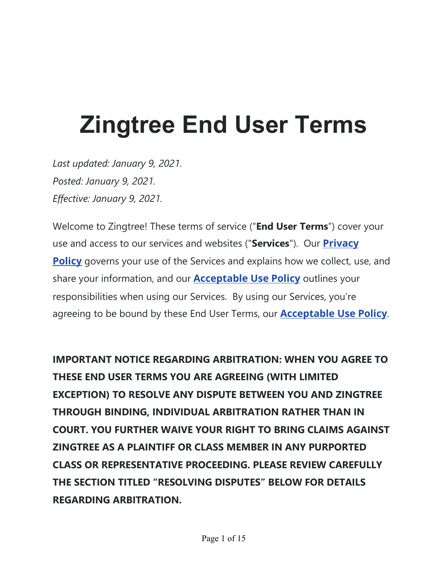# **Zingtree End User Terms**

*Last updated: January 9, 2021. Posted: January 9, 2021. Effective: January 9, 2021.*

Welcome to Zingtree! These terms of service ("**End User Terms**") cover your use and access to our services and websites ("**Services**"). Our **Privacy Policy** governs your use of the Services and explains how we collect, use, and share your information, and our **Acceptable Use Policy** outlines your responsibilities when using our Services. By using our Services, you're agreeing to be bound by these End User Terms, our **Acceptable Use Policy**.

**IMPORTANT NOTICE REGARDING ARBITRATION: WHEN YOU AGREE TO THESE END USER TERMS YOU ARE AGREEING (WITH LIMITED EXCEPTION) TO RESOLVE ANY DISPUTE BETWEEN YOU AND ZINGTREE THROUGH BINDING, INDIVIDUAL ARBITRATION RATHER THAN IN COURT. YOU FURTHER WAIVE YOUR RIGHT TO BRING CLAIMS AGAINST ZINGTREE AS A PLAINTIFF OR CLASS MEMBER IN ANY PURPORTED CLASS OR REPRESENTATIVE PROCEEDING. PLEASE REVIEW CAREFULLY THE SECTION TITLED "RESOLVING DISPUTES" BELOW FOR DETAILS REGARDING ARBITRATION.**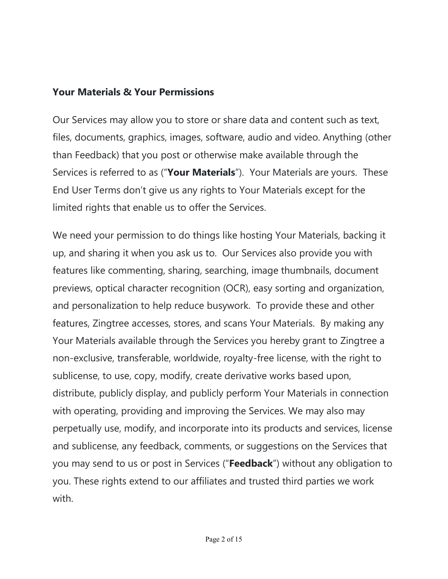#### **Your Materials & Your Permissions**

Our Services may allow you to store or share data and content such as text, files, documents, graphics, images, software, audio and video. Anything (other than Feedback) that you post or otherwise make available through the Services is referred to as ("Your Materials"). Your Materials are yours. These End User Terms don't give us any rights to Your Materials except for the limited rights that enable us to offer the Services.

We need your permission to do things like hosting Your Materials, backing it up, and sharing it when you ask us to. Our Services also provide you with features like commenting, sharing, searching, image thumbnails, document previews, optical character recognition (OCR), easy sorting and organization, and personalization to help reduce busywork. To provide these and other features, Zingtree accesses, stores, and scans Your Materials. By making any Your Materials available through the Services you hereby grant to Zingtree a non-exclusive, transferable, worldwide, royalty-free license, with the right to sublicense, to use, copy, modify, create derivative works based upon, distribute, publicly display, and publicly perform Your Materials in connection with operating, providing and improving the Services. We may also may perpetually use, modify, and incorporate into its products and services, license and sublicense, any feedback, comments, or suggestions on the Services that you may send to us or post in Services ("Feedback") without any obligation to you. These rights extend to our affiliates and trusted third parties we work with.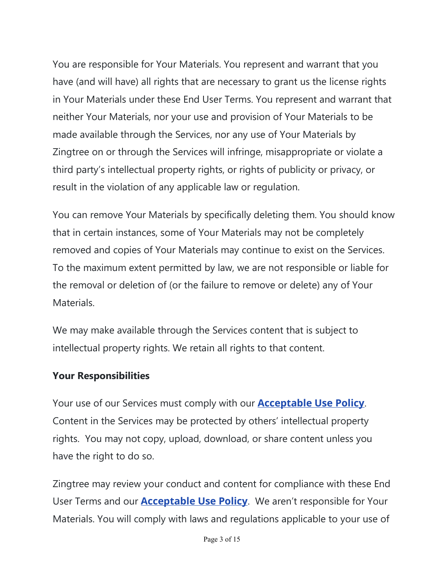You are responsible for Your Materials. You represent and warrant that you have (and will have) all rights that are necessary to grant us the license rights in Your Materials under these End User Terms. You represent and warrant that neither Your Materials, nor your use and provision of Your Materials to be made available through the Services, nor any use of Your Materials by Zingtree on or through the Services will infringe, misappropriate or violate a third party's intellectual property rights, or rights of publicity or privacy, or result in the violation of any applicable law or regulation.

You can remove Your Materials by specifically deleting them. You should know that in certain instances, some of Your Materials may not be completely removed and copies of Your Materials may continue to exist on the Services. To the maximum extent permitted by law, we are not responsible or liable for the removal or deletion of (or the failure to remove or delete) any of Your Materials.

We may make available through the Services content that is subject to intellectual property rights. We retain all rights to that content.

#### **Your Responsibilities**

Your use of our Services must comply with our **Acceptable Use Policy**. Content in the Services may be protected by others' intellectual property rights. You may not copy, upload, download, or share content unless you have the right to do so.

Zingtree may review your conduct and content for compliance with these End User Terms and our **Acceptable Use Policy**. We aren't responsible for Your Materials. You will comply with laws and regulations applicable to your use of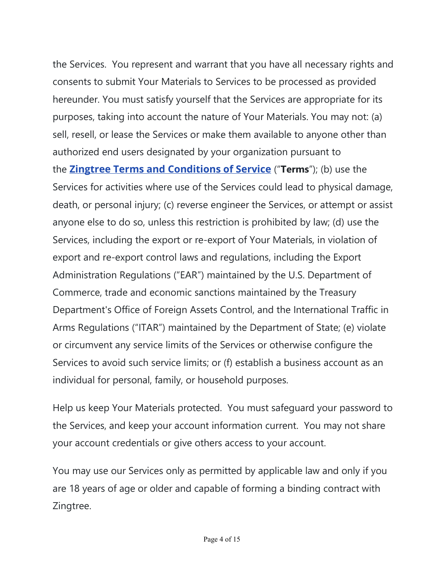the Services. You represent and warrant that you have all necessary rights and consents to submit Your Materials to Services to be processed as provided hereunder. You must satisfy yourself that the Services are appropriate for its purposes, taking into account the nature of Your Materials. You may not: (a) sell, resell, or lease the Services or make them available to anyone other than authorized end users designated by your organization pursuant to **the Zingtree Terms and Conditions of Service** ("Terms"); (b) use the Services for activities where use of the Services could lead to physical damage, death, or personal injury; (c) reverse engineer the Services, or attempt or assist anyone else to do so, unless this restriction is prohibited by law; (d) use the Services, including the export or re-export of Your Materials, in violation of export and re-export control laws and regulations, including the Export Administration Regulations ("EAR") maintained by the U.S. Department of Commerce, trade and economic sanctions maintained by the Treasury Department's Office of Foreign Assets Control, and the International Traffic in Arms Regulations ("ITAR") maintained by the Department of State; (e) violate or circumvent any service limits of the Services or otherwise configure the Services to avoid such service limits; or (f) establish a business account as an individual for personal, family, or household purposes.

Help us keep Your Materials protected. You must safeguard your password to the Services, and keep your account information current. You may not share your account credentials or give others access to your account.

You may use our Services only as permitted by applicable law and only if you are 18 years of age or older and capable of forming a binding contract with Zingtree.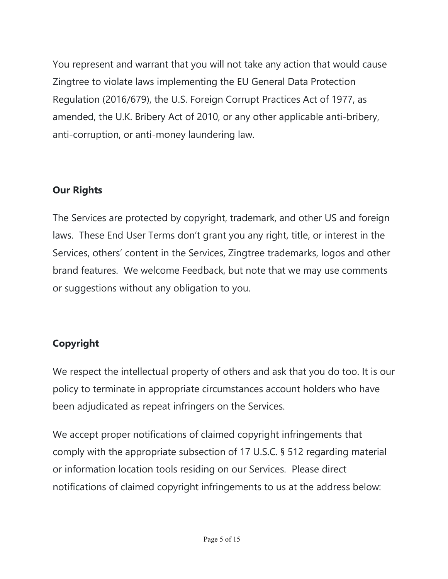You represent and warrant that you will not take any action that would cause Zingtree to violate laws implementing the EU General Data Protection Regulation (2016/679), the U.S. Foreign Corrupt Practices Act of 1977, as amended, the U.K. Bribery Act of 2010, or any other applicable anti-bribery, anti-corruption, or anti-money laundering law.

# **Our Rights**

The Services are protected by copyright, trademark, and other US and foreign laws. These End User Terms don't grant you any right, title, or interest in the Services, others' content in the Services, Zingtree trademarks, logos and other brand features. We welcome Feedback, but note that we may use comments or suggestions without any obligation to you.

# **Copyright**

We respect the intellectual property of others and ask that you do too. It is our policy to terminate in appropriate circumstances account holders who have been adjudicated as repeat infringers on the Services.

We accept proper notifications of claimed copyright infringements that comply with the appropriate subsection of 17 U.S.C. § 512 regarding material or information location tools residing on our Services. Please direct notifications of claimed copyright infringements to us at the address below: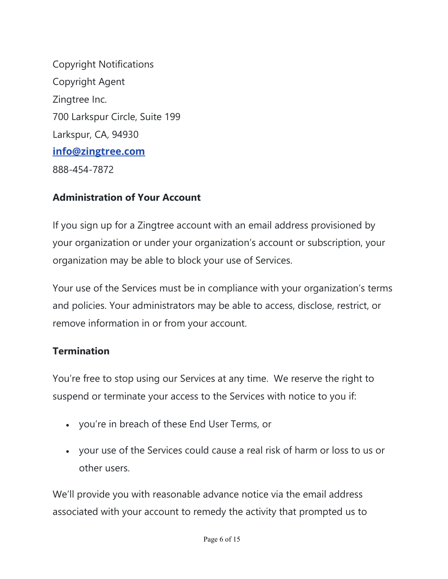Copyright Notifications Copyright Agent Zingtree Inc. 700 Larkspur Circle, Suite 199 Larkspur, CA, 94930 **info@zingtree.com** 888-454-7872

# **Administration of Your Account**

If you sign up for a Zingtree account with an email address provisioned by your organization or under your organization's account or subscription, your organization may be able to block your use of Services.

Your use of the Services must be in compliance with your organization's terms and policies. Your administrators may be able to access, disclose, restrict, or remove information in or from your account.

#### **Termination**

You're free to stop using our Services at any time. We reserve the right to suspend or terminate your access to the Services with notice to you if:

- you're in breach of these End User Terms, or
- x your use of the Services could cause a real risk of harm or loss to us or other users.

We'll provide you with reasonable advance notice via the email address associated with your account to remedy the activity that prompted us to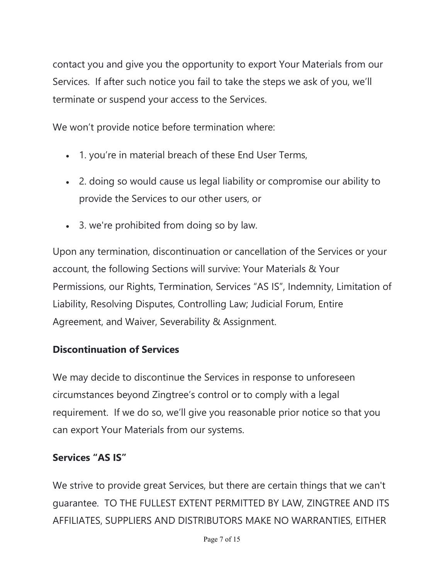contact you and give you the opportunity to export Your Materials from our Services. If after such notice you fail to take the steps we ask of you, we'll terminate or suspend your access to the Services.

We won't provide notice before termination where:

- 1. you're in material breach of these End User Terms,
- 2. doing so would cause us legal liability or compromise our ability to provide the Services to our other users, or
- 3. we're prohibited from doing so by law.

Upon any termination, discontinuation or cancellation of the Services or your account, the following Sections will survive: Your Materials & Your Permissions, our Rights, Termination, Services "AS IS", Indemnity, Limitation of Liability, Resolving Disputes, Controlling Law; Judicial Forum, Entire Agreement, and Waiver, Severability & Assignment.

# **Discontinuation of Services**

We may decide to discontinue the Services in response to unforeseen circumstances beyond Zingtree's control or to comply with a legal requirement. If we do so, we'll give you reasonable prior notice so that you can export Your Materials from our systems.

# **Services "AS IS"**

We strive to provide great Services, but there are certain things that we can't guarantee. TO THE FULLEST EXTENT PERMITTED BY LAW, ZINGTREE AND ITS AFFILIATES, SUPPLIERS AND DISTRIBUTORS MAKE NO WARRANTIES, EITHER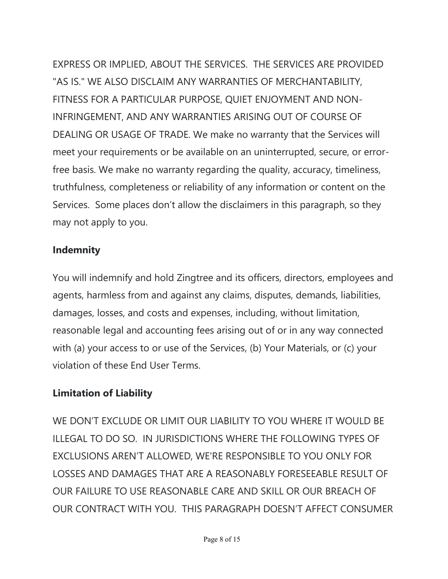EXPRESS OR IMPLIED, ABOUT THE SERVICES. THE SERVICES ARE PROVIDED "AS IS." WE ALSO DISCLAIM ANY WARRANTIES OF MERCHANTABILITY, FITNESS FOR A PARTICULAR PURPOSE, QUIET ENJOYMENT AND NON-INFRINGEMENT, AND ANY WARRANTIES ARISING OUT OF COURSE OF DEALING OR USAGE OF TRADE. We make no warranty that the Services will meet your requirements or be available on an uninterrupted, secure, or errorfree basis. We make no warranty regarding the quality, accuracy, timeliness, truthfulness, completeness or reliability of any information or content on the Services. Some places don't allow the disclaimers in this paragraph, so they may not apply to you.

# **Indemnity**

You will indemnify and hold Zingtree and its officers, directors, employees and agents, harmless from and against any claims, disputes, demands, liabilities, damages, losses, and costs and expenses, including, without limitation, reasonable legal and accounting fees arising out of or in any way connected with (a) your access to or use of the Services, (b) Your Materials, or (c) your violation of these End User Terms.

# **Limitation of Liability**

WE DON'T EXCLUDE OR LIMIT OUR LIABILITY TO YOU WHERE IT WOULD BE ILLEGAL TO DO SO. IN JURISDICTIONS WHERE THE FOLLOWING TYPES OF EXCLUSIONS AREN'T ALLOWED, WE'RE RESPONSIBLE TO YOU ONLY FOR LOSSES AND DAMAGES THAT ARE A REASONABLY FORESEEABLE RESULT OF OUR FAILURE TO USE REASONABLE CARE AND SKILL OR OUR BREACH OF OUR CONTRACT WITH YOU. THIS PARAGRAPH DOESN'T AFFECT CONSUMER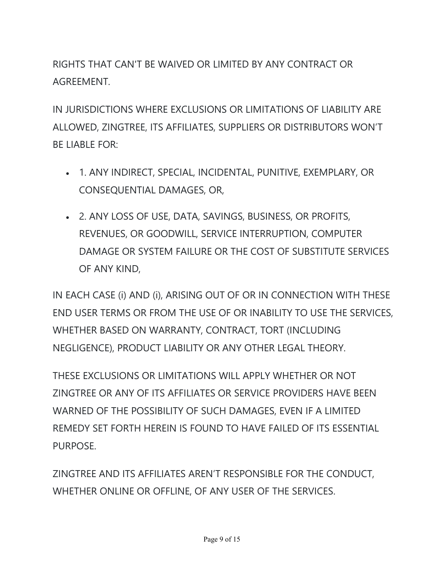RIGHTS THAT CAN'T BE WAIVED OR LIMITED BY ANY CONTRACT OR AGREEMENT.

IN JURISDICTIONS WHERE EXCLUSIONS OR LIMITATIONS OF LIABILITY ARE ALLOWED, ZINGTREE, ITS AFFILIATES, SUPPLIERS OR DISTRIBUTORS WON'T BE LIABLE FOR:

- x 1. ANY INDIRECT, SPECIAL, INCIDENTAL, PUNITIVE, EXEMPLARY, OR CONSEQUENTIAL DAMAGES, OR,
- x 2. ANY LOSS OF USE, DATA, SAVINGS, BUSINESS, OR PROFITS, REVENUES, OR GOODWILL, SERVICE INTERRUPTION, COMPUTER DAMAGE OR SYSTEM FAILURE OR THE COST OF SUBSTITUTE SERVICES OF ANY KIND,

IN EACH CASE (i) AND (i), ARISING OUT OF OR IN CONNECTION WITH THESE END USER TERMS OR FROM THE USE OF OR INABILITY TO USE THE SERVICES, WHETHER BASED ON WARRANTY, CONTRACT, TORT (INCLUDING NEGLIGENCE), PRODUCT LIABILITY OR ANY OTHER LEGAL THEORY.

THESE EXCLUSIONS OR LIMITATIONS WILL APPLY WHETHER OR NOT ZINGTREE OR ANY OF ITS AFFILIATES OR SERVICE PROVIDERS HAVE BEEN WARNED OF THE POSSIBILITY OF SUCH DAMAGES, EVEN IF A LIMITED REMEDY SET FORTH HEREIN IS FOUND TO HAVE FAILED OF ITS ESSENTIAL PURPOSE.

ZINGTREE AND ITS AFFILIATES AREN'T RESPONSIBLE FOR THE CONDUCT, WHETHER ONLINE OR OFFLINE, OF ANY USER OF THE SERVICES.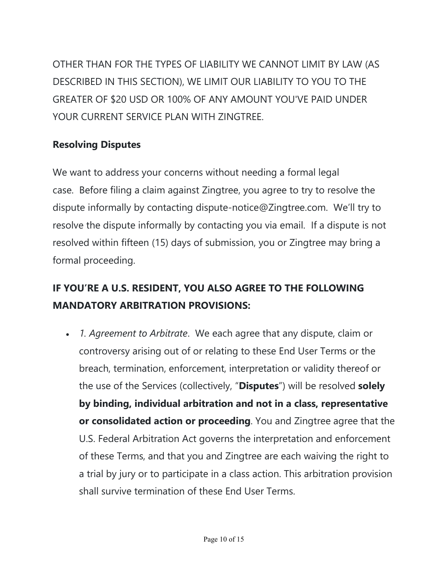OTHER THAN FOR THE TYPES OF LIABILITY WE CANNOT LIMIT BY LAW (AS DESCRIBED IN THIS SECTION), WE LIMIT OUR LIABILITY TO YOU TO THE GREATER OF \$20 USD OR 100% OF ANY AMOUNT YOU'VE PAID UNDER YOUR CURRENT SERVICE PLAN WITH ZINGTREE.

# **Resolving Disputes**

We want to address your concerns without needing a formal legal case. Before filing a claim against Zingtree, you agree to try to resolve the dispute informally by contacting dispute-notice@Zingtree.com. We'll try to resolve the dispute informally by contacting you via email. If a dispute is not resolved within fifteen (15) days of submission, you or Zingtree may bring a formal proceeding.

# **IF YOU'RE A U.S. RESIDENT, YOU ALSO AGREE TO THE FOLLOWING MANDATORY ARBITRATION PROVISIONS:**

x *1. Agreement to Arbitrate*. We each agree that any dispute, claim or controversy arising out of or relating to these End User Terms or the breach, termination, enforcement, interpretation or validity thereof or the use of the Services (collectively, "**Disputes**") will be resolved **solely by binding, individual arbitration and not in a class, representative or consolidated action or proceeding**. You and Zingtree agree that the U.S. Federal Arbitration Act governs the interpretation and enforcement of these Terms, and that you and Zingtree are each waiving the right to a trial by jury or to participate in a class action. This arbitration provision shall survive termination of these End User Terms.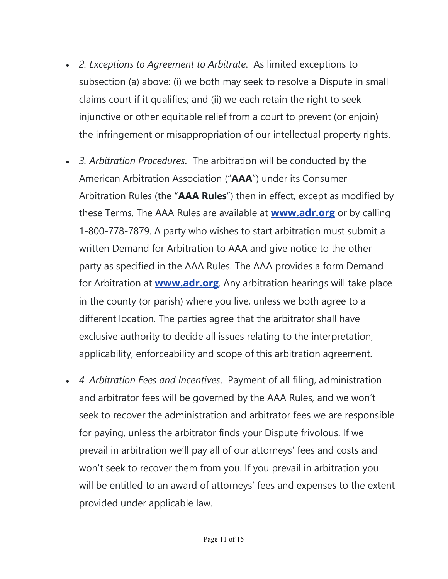- x *2. Exceptions to Agreement to Arbitrate*. As limited exceptions to subsection (a) above: (i) we both may seek to resolve a Dispute in small claims court if it qualifies; and (ii) we each retain the right to seek injunctive or other equitable relief from a court to prevent (or enjoin) the infringement or misappropriation of our intellectual property rights.
- x *3. Arbitration Procedures*. The arbitration will be conducted by the American Arbitration Association ("**AAA**") under its Consumer Arbitration Rules (the "AAA Rules") then in effect, except as modified by these Terms. The AAA Rules are available at **www.adr.org** or by calling 1-800-778-7879. A party who wishes to start arbitration must submit a written Demand for Arbitration to AAA and give notice to the other party as specified in the AAA Rules. The AAA provides a form Demand for Arbitration at **www.adr.org**. Any arbitration hearings will take place in the county (or parish) where you live, unless we both agree to a different location. The parties agree that the arbitrator shall have exclusive authority to decide all issues relating to the interpretation, applicability, enforceability and scope of this arbitration agreement.
- x *4. Arbitration Fees and Incentives*. Payment of all filing, administration and arbitrator fees will be governed by the AAA Rules, and we won't seek to recover the administration and arbitrator fees we are responsible for paying, unless the arbitrator finds your Dispute frivolous. If we prevail in arbitration we'll pay all of our attorneys' fees and costs and won't seek to recover them from you. If you prevail in arbitration you will be entitled to an award of attorneys' fees and expenses to the extent provided under applicable law.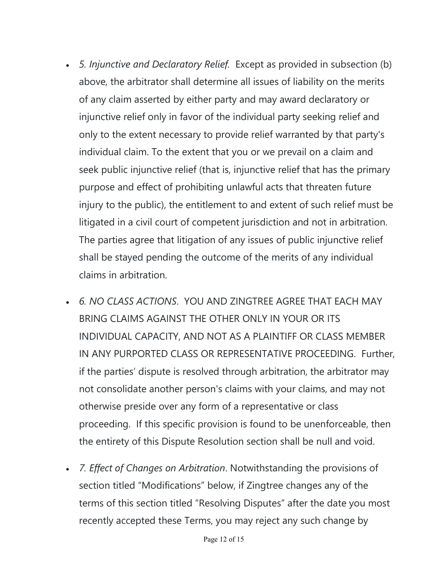- x *5. Injunctive and Declaratory Relief.* Except as provided in subsection (b) above, the arbitrator shall determine all issues of liability on the merits of any claim asserted by either party and may award declaratory or injunctive relief only in favor of the individual party seeking relief and only to the extent necessary to provide relief warranted by that party's individual claim. To the extent that you or we prevail on a claim and seek public injunctive relief (that is, injunctive relief that has the primary purpose and effect of prohibiting unlawful acts that threaten future injury to the public), the entitlement to and extent of such relief must be litigated in a civil court of competent jurisdiction and not in arbitration. The parties agree that litigation of any issues of public injunctive relief shall be stayed pending the outcome of the merits of any individual claims in arbitration.
- x *6. NO CLASS ACTIONS*. YOU AND ZINGTREE AGREE THAT EACH MAY BRING CLAIMS AGAINST THE OTHER ONLY IN YOUR OR ITS INDIVIDUAL CAPACITY, AND NOT AS A PLAINTIFF OR CLASS MEMBER IN ANY PURPORTED CLASS OR REPRESENTATIVE PROCEEDING. Further, If the parties' dispute is resolved through arbitration, the arbitrator may not consolidate another person's claims with your claims, and may not otherwise preside over any form of a representative or class proceeding. If this specific provision is found to be unenforceable, then the entirety of this Dispute Resolution section shall be null and void.
- x *7. Effect of Changes on Arbitration*. Notwithstanding the provisions of section titled "Modifications" below, if Zingtree changes any of the terms of this section titled "Resolving Disputes" after the date you most recently accepted these Terms, you may reject any such change by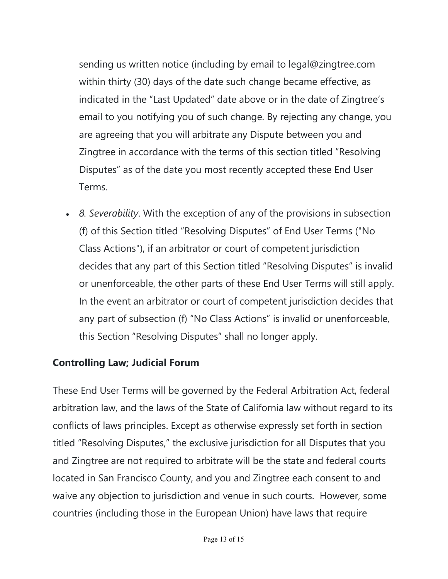sending us written notice (including by email to legal@zingtree.com within thirty (30) days of the date such change became effective, as indicated in the "Last Updated" date above or in the date of Zingtree's email to you notifying you of such change. By rejecting any change, you are agreeing that you will arbitrate any Dispute between you and Zingtree in accordance with the terms of this section titled "Resolving Disputes" as of the date you most recently accepted these End User Terms.

x *8. Severability*. With the exception of any of the provisions in subsection (f) of this Section titled "Resolving Disputes" of End User Terms ("No Class Actions"), if an arbitrator or court of competent jurisdiction decides that any part of this Section titled "Resolving Disputes" is invalid or unenforceable, the other parts of these End User Terms will still apply. In the event an arbitrator or court of competent jurisdiction decides that any part of subsection (f) "No Class Actions" is invalid or unenforceable, this Section "Resolving Disputes" shall no longer apply.

# **Controlling Law; Judicial Forum**

These End User Terms will be governed by the Federal Arbitration Act, federal arbitration law, and the laws of the State of California law without regard to its conflicts of laws principles. Except as otherwise expressly set forth in section titled "Resolving Disputes," the exclusive jurisdiction for all Disputes that you and Zingtree are not required to arbitrate will be the state and federal courts located in San Francisco County, and you and Zingtree each consent to and waive any objection to jurisdiction and venue in such courts. However, some countries (including those in the European Union) have laws that require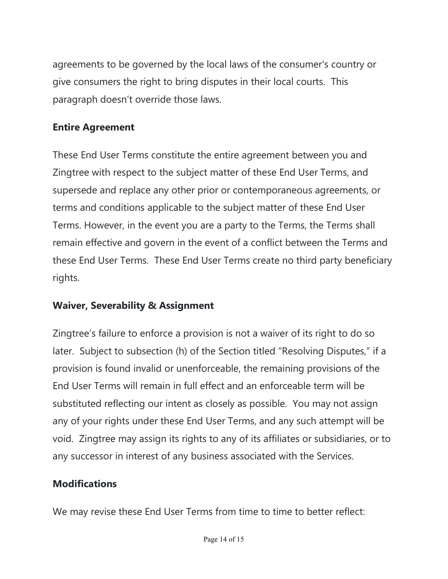agreements to be governed by the local laws of the consumer's country or give consumers the right to bring disputes in their local courts. This paragraph doesn't override those laws.

#### **Entire Agreement**

These End User Terms constitute the entire agreement between you and Zingtree with respect to the subject matter of these End User Terms, and supersede and replace any other prior or contemporaneous agreements, or terms and conditions applicable to the subject matter of these End User Terms. However, in the event you are a party to the Terms, the Terms shall remain effective and govern in the event of a conflict between the Terms and these End User Terms. These End User Terms create no third party beneficiary rights.

#### **Waiver, Severability & Assignment**

Zingtree's failure to enforce a provision is not a waiver of its right to do so later. Subject to subsection (h) of the Section titled "Resolving Disputes," if a provision is found invalid or unenforceable, the remaining provisions of the End User Terms will remain in full effect and an enforceable term will be substituted reflecting our intent as closely as possible. You may not assign any of your rights under these End User Terms, and any such attempt will be void. Zingtree may assign its rights to any of its affiliates or subsidiaries, or to any successor in interest of any business associated with the Services.

#### **Modifications**

We may revise these End User Terms from time to time to better reflect: